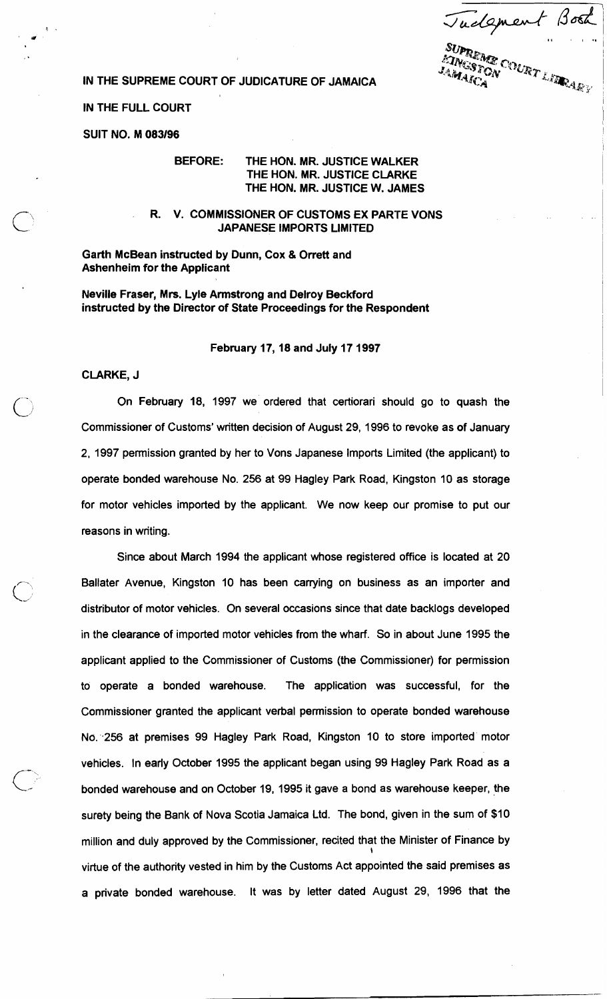$\beta$ osk Tudgment SUPREME COURT LIBRARY

**IN THE SUPREME COURT OF JUDICATURE OF JAMAICA** 

## **IN THE FULL COURT**

**SUIT NO. M** 083196

## **BEFORE: THE HON. MR. JUSTICE WALKER THE HON. MR. JUSTICE CLARKE THE HON. MR. JUSTICE W. JAMES**

**R. V. COMMISSIONER OF CUSTOMS EX PAR'TE VONS JAPANESE IMPORTS LIMITED** 

**Garth McBean instructed by Dunn, Cox** & **Orrett and Ashenheim for the Applicant** 

**Neville Fraser, Mrs. Lyle Armstrong and Delroy Beckford instructed by the Director of State Proceedings for the Respondent** 

## **February** 17,18 **and July** 17 1997

**CLARKE, J** 

On February 18, 1997 we ordered that certiorari should go to quash the Commissioner of Customs' written decision of August 29, 1996 to revoke as of January 2, 1997 permission granted by her to Vons Japanese Imports Limited (the applicant) to operate bonded warehouse No. 256 at 99 Hagley Park Road, Kingston 10 as storage for motor vehicles imported by the applicant. We now keep our promise to put our reasons in writing.

Since about March 1994 the applicant whose registered office is located at 20 Ballater Avenue, Kingston 10 has been carrying on business as an importer and distributor of motor vehicles. On several occasions since that date backlogs developed in the clearance of imported motor vehicles from the wharf. So in about June 1995 the applicant applied to the Commissioner of Customs (the Commissioner) for permission to operate a bonded warehouse. The application was successful, for the Commissioner granted the applicant verbal permission to operate bonded warehouse N6:.256 at premises 99 Hagley Park Road, Kingston 10 to store imported' motor vehicles. In early October 1995 the applicant began using 99 Hagley Park Road as a bonded warehouse and on October 19, 1995 it gave a bond as warehouse keeper, the surety being the Bank of Nova Scotia Jamaica Ltd. The bond, given in the sum of \$10 million and duly approved by the Commissioner, recited that the Minister of Finance by \ virtue of the authority vested in him by the Customs Act appointed the said premises as a private bonded warehouse. It was by letter dated August 29, 1996 that the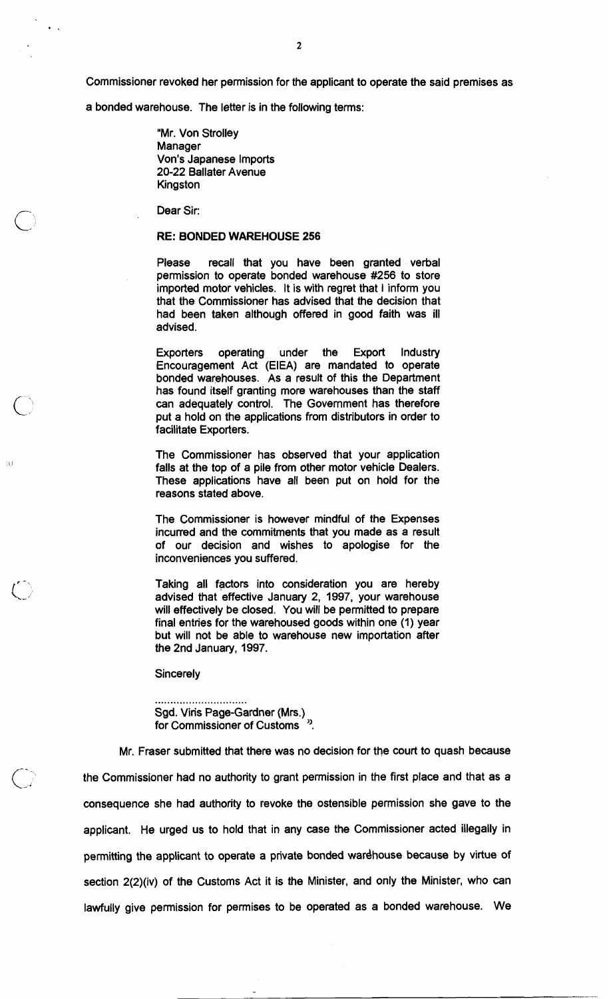Commissioner revoked her permission for the applicant to operate the said premises as

a bonded warehouse. The letter is in the following terms:

"Mr. Von Strolley Manager Von's Japanese Imports 20-22 Ballater Avenue Kingston

Dear Sir:

 $\ddot{\bullet}$ 

## **RE: BONDED WAREHOUSE 256**

Please recall that you have been granted verbal permission to operate bonded warehouse #256 to store imported motor vehicles. It is with regret that I inform you that the Commissioner has advised that the decision that had been taken although offered in good faith was ill advised.

Exporters operating under the Export Industry Encouragement Act (EIEA) are mandated to operate bonded warehouses. As a result of this the Department has found itself granting more warehouses than the staff can adequately control. The Government has therefore put a hold on the applications from distributors in order to facilitate Exporters.

The Commissioner has observed that your application falls at the top of a pile from other motor vehicle Dealers. These applications have all been put on hold for the reasons stated above.

The Commissioner is however mindful of the Expenses incurred and the commitments that you made as a result of our decision and wishes to apologise for the inconveniences you suffered.

Taking all factors into consideration you are hereby advised that effective January 2, 1997, your warehouse will effectively be closed. You will be permitted to prepare final entries for the warehoused goods within one (1) year but will not be able to warehouse new importation after the 2nd January, 1997.

**Sincerely** 

.............................. Sgd. Viris Page-Gardner (Mrs.) for Commissioner of Customs

Mr. Fraser submitted that there was no decision for the court to quash because the Commissioner had no authority to grant permission in the first place and that as a consequence she had authority to revoke the ostensible permission she gave to the applicant. He urged us to hold that in any case the Commissioner acted illegally in permitting the applicant to operate a private bonded wardhouse because by virtue of section 2(2)(iv) of the Customs Act it is the Minister, and only the Minister, who can lawfully give permission for permises to be operated as a bonded warehouse. We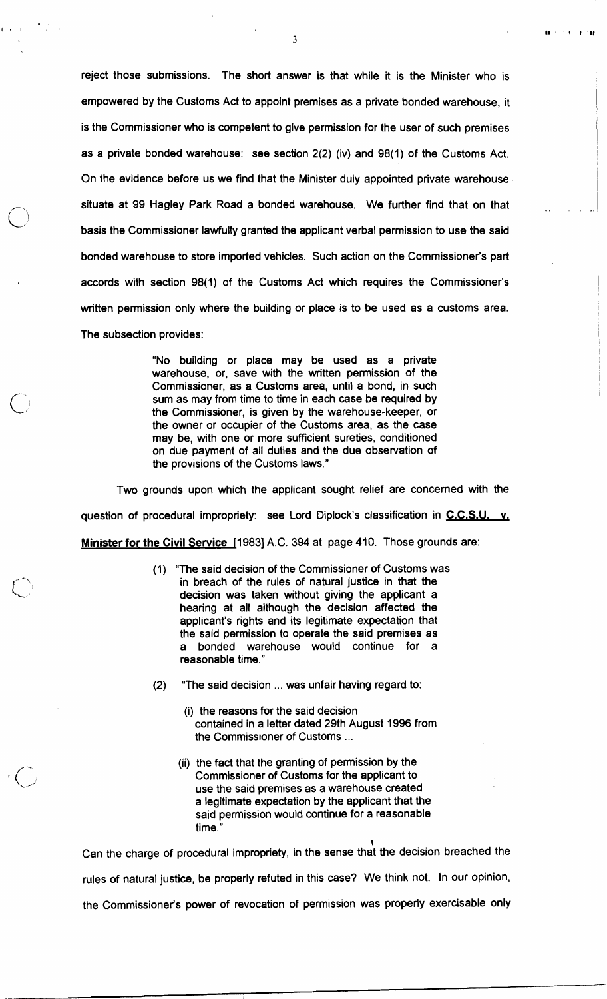reject those submissions. The short answer is that while it is the Minister who is empowered by the Customs Act to appoint premises as a private bonded warehouse, it is the Commissioner who is competent to give permission for the user of such premises as a private bonded warehouse: see section 2(2) (iv) and 98(1) of the Customs Act. On the evidence before us we find that the Minister duly appointed private warehouse situate at 99 Hagley Park Road a bonded warehouse. We further find that on that basis the Commissioner lawfully granted the applicant verbal permission to use the said bonded warehouse to store imported vehicles. Such action on the Commissioner's part accords with section 98(1) of the Customs Act which requires the Commissioner's written permission only where the building or place is to be used as a customs area. 'The subsection provides:

> "No building or place may be used as a private warehouse, or, save with the written permission of the Commissioner, as a Customs area, until a bond, in such sum as may from time to time in each case be required by the Commissioner, is given by the warehouse-keeper, or the owner or occupier of the Customs area, as the case may be, with one or more sufficient sureties, conditioned on due payment of all duties and the due observation of the provisions of the Customs laws."

Two grounds upon which the applicant sought relief are concerned with the question of procedural impropriety: see Lord Diplock's classification in **C.C.S.U. v. Minister for the Civil Service** [I9831 A.C. 394 at page 410. Those grounds are:

- (1) "The said decision of the Commissioner of Customs was in breach of the rules of natural justice in that the decision was taken without giving the applicant a hearing at all although the decision affected the applicant's rights and its legitimate expectation that the said permission to operate the said premises as a bonded warehouse would continue for a reasonable time."
- (2) "The said decision ... was unfair having regard to:
	- (i) the reasons for the said decision contained in a letter dated 29th August 1996 from the Commissioner of Customs ...
	- (ii) the fact that the granting of permission by the Commissioner of Customs for the applicant to use the said premises as a warehouse created a legitimate expectation by the applicant that the said permission would continue for a reasonable time.''

 $\mathbf{\mathbf{r}}$ 

Can the charge of procedural impropriety, in the sense that the decision breached the rules of natural justice, be properly refuted in this case? We think not. In our opinion, the Commissioner's power of revocation of permission was properly exercisable only

 $\mathbf{3}$